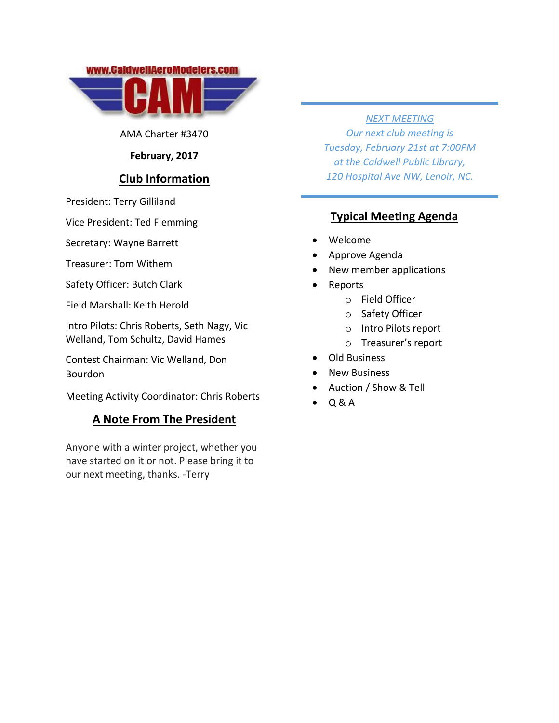



AMA Charter #3470

### **February, 2017**

# **Club Information**

President: Terry Gilliland

Vice President: Ted Flemming

Secretary: Wayne Barrett

Treasurer: Tom Withem

Safety Officer: Butch Clark

Field Marshall: Keith Herold

Intro Pilots: Chris Roberts, Seth Nagy, Vic Welland, Tom Schultz, David Hames

Contest Chairman: Vic Welland, Don Bourdon

Meeting Activity Coordinator: Chris Roberts

# **A Note From The President**

Anyone with a winter project, whether you have started on it or not. Please bring it to our next meeting, thanks. -Terry

#### *NEXT MEETING*

*Our next club meeting is Tuesday, February 21st at 7:00PM at the Caldwell Public Library, 120 Hospital Ave NW, Lenoir, NC.*

# **Typical Meeting Agenda**

- Welcome
- Approve Agenda
- New member applications
- Reports
	- o Field Officer
	- o Safety Officer
	- o Intro Pilots report
	- o Treasurer's report
- Old Business
- New Business
- Auction / Show & Tell
- Q & A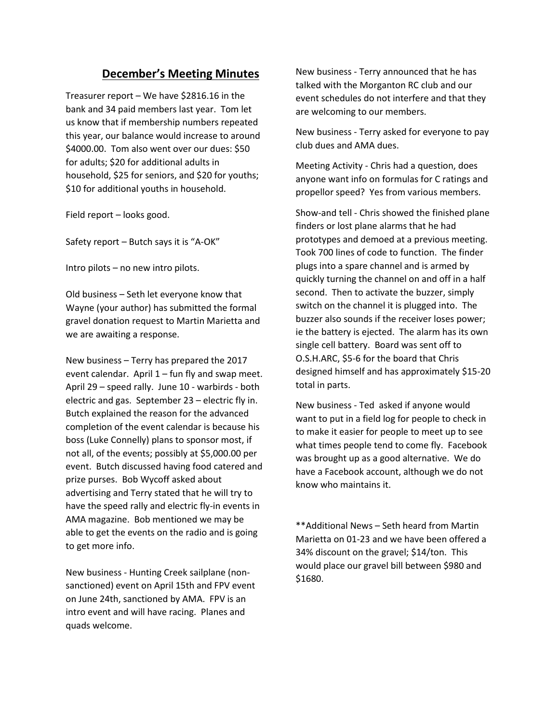# **December's Meeting Minutes**

Treasurer report – We have \$2816.16 in the bank and 34 paid members last year. Tom let us know that if membership numbers repeated this year, our balance would increase to around \$4000.00. Tom also went over our dues: \$50 for adults; \$20 for additional adults in household, \$25 for seniors, and \$20 for youths; \$10 for additional youths in household.

Field report – looks good.

Safety report – Butch says it is "A-OK"

Intro pilots – no new intro pilots.

Old business – Seth let everyone know that Wayne (your author) has submitted the formal gravel donation request to Martin Marietta and we are awaiting a response.

New business – Terry has prepared the 2017 event calendar. April  $1$  – fun fly and swap meet. April 29 – speed rally. June 10 - warbirds - both electric and gas. September 23 – electric fly in. Butch explained the reason for the advanced completion of the event calendar is because his boss (Luke Connelly) plans to sponsor most, if not all, of the events; possibly at \$5,000.00 per event. Butch discussed having food catered and prize purses. Bob Wycoff asked about advertising and Terry stated that he will try to have the speed rally and electric fly-in events in AMA magazine. Bob mentioned we may be able to get the events on the radio and is going to get more info.

New business - Hunting Creek sailplane (nonsanctioned) event on April 15th and FPV event on June 24th, sanctioned by AMA. FPV is an intro event and will have racing. Planes and quads welcome.

New business - Terry announced that he has talked with the Morganton RC club and our event schedules do not interfere and that they are welcoming to our members.

New business - Terry asked for everyone to pay club dues and AMA dues.

Meeting Activity - Chris had a question, does anyone want info on formulas for C ratings and propellor speed? Yes from various members.

Show-and tell - Chris showed the finished plane finders or lost plane alarms that he had prototypes and demoed at a previous meeting. Took 700 lines of code to function. The finder plugs into a spare channel and is armed by quickly turning the channel on and off in a half second. Then to activate the buzzer, simply switch on the channel it is plugged into. The buzzer also sounds if the receiver loses power; ie the battery is ejected. The alarm has its own single cell battery. Board was sent off to O.S.H.ARC, \$5-6 for the board that Chris designed himself and has approximately \$15-20 total in parts.

New business - Ted asked if anyone would want to put in a field log for people to check in to make it easier for people to meet up to see what times people tend to come fly. Facebook was brought up as a good alternative. We do have a Facebook account, although we do not know who maintains it.

\*\*Additional News – Seth heard from Martin Marietta on 01-23 and we have been offered a 34% discount on the gravel; \$14/ton. This would place our gravel bill between \$980 and \$1680.